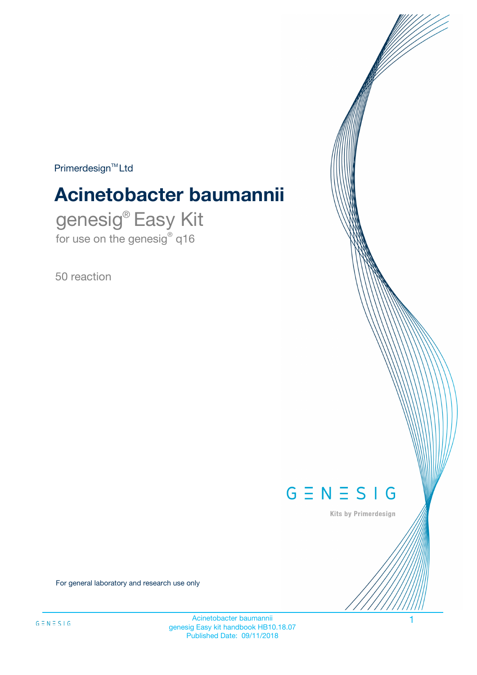$Primerdesign^{\text{TM}}Ltd$ 

# **Acinetobacter baumannii**

genesig® Easy Kit for use on the genesig® q16

50 reaction



Kits by Primerdesign

For general laboratory and research use only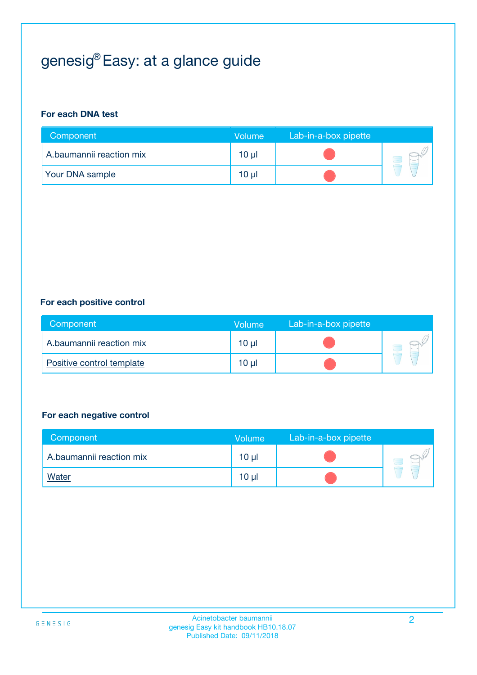## genesig® Easy: at a glance guide

#### **For each DNA test**

| Component                | <b>Volume</b>   | Lab-in-a-box pipette |  |
|--------------------------|-----------------|----------------------|--|
| A.baumannii reaction mix | $10 \mu$        |                      |  |
| <b>Your DNA sample</b>   | 10 <sub>µ</sub> |                      |  |

#### **For each positive control**

| Component                 | Volume          | Lab-in-a-box pipette |  |
|---------------------------|-----------------|----------------------|--|
| A.baumannii reaction mix  | 10 <sub>µ</sub> |                      |  |
| Positive control template | $10 \mu$        |                      |  |

#### **For each negative control**

| Component                | <b>Volume</b>   | Lab-in-a-box pipette |  |
|--------------------------|-----------------|----------------------|--|
| A.baumannii reaction mix | 10 <sub>µ</sub> |                      |  |
| <u>Water</u>             | 10 <sub>µ</sub> |                      |  |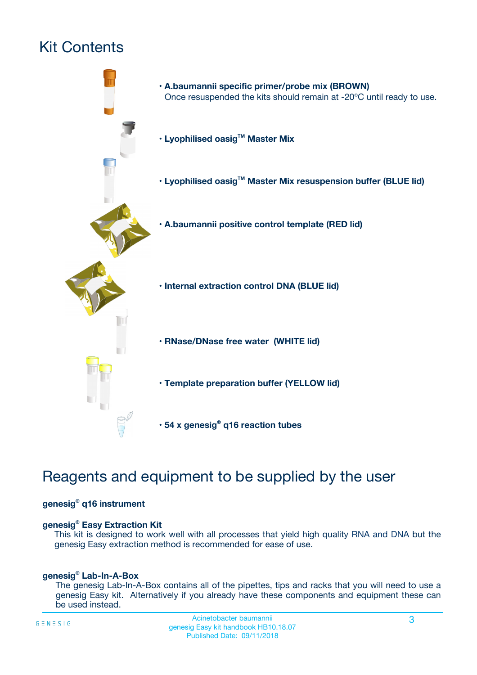## Kit Contents



## Reagents and equipment to be supplied by the user

#### **genesig® q16 instrument**

#### **genesig® Easy Extraction Kit**

This kit is designed to work well with all processes that yield high quality RNA and DNA but the genesig Easy extraction method is recommended for ease of use.

#### **genesig® Lab-In-A-Box**

The genesig Lab-In-A-Box contains all of the pipettes, tips and racks that you will need to use a genesig Easy kit. Alternatively if you already have these components and equipment these can be used instead.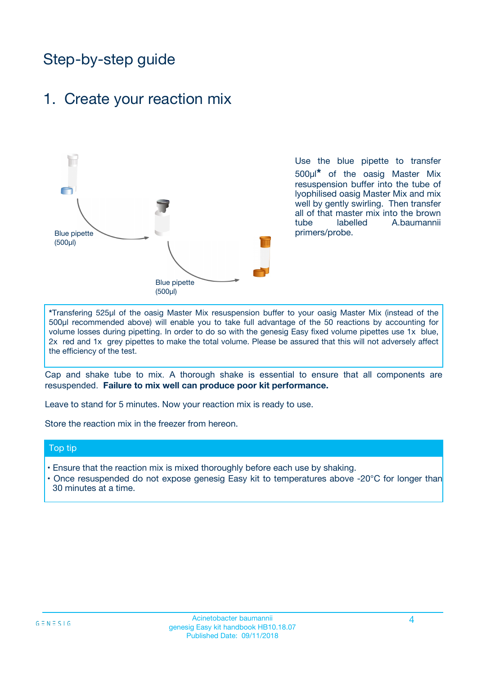## Step-by-step guide

### 1. Create your reaction mix



Use the blue pipette to transfer 500µl**\*** of the oasig Master Mix resuspension buffer into the tube of lyophilised oasig Master Mix and mix well by gently swirling. Then transfer all of that master mix into the brown tube labelled A.baumannii primers/probe.

**\***Transfering 525µl of the oasig Master Mix resuspension buffer to your oasig Master Mix (instead of the 500µl recommended above) will enable you to take full advantage of the 50 reactions by accounting for volume losses during pipetting. In order to do so with the genesig Easy fixed volume pipettes use 1x blue, 2x red and 1x grey pipettes to make the total volume. Please be assured that this will not adversely affect the efficiency of the test.

Cap and shake tube to mix. A thorough shake is essential to ensure that all components are resuspended. **Failure to mix well can produce poor kit performance.**

Leave to stand for 5 minutes. Now your reaction mix is ready to use.

Store the reaction mix in the freezer from hereon.

#### Top tip

- Ensure that the reaction mix is mixed thoroughly before each use by shaking.
- **•** Once resuspended do not expose genesig Easy kit to temperatures above -20°C for longer than 30 minutes at a time.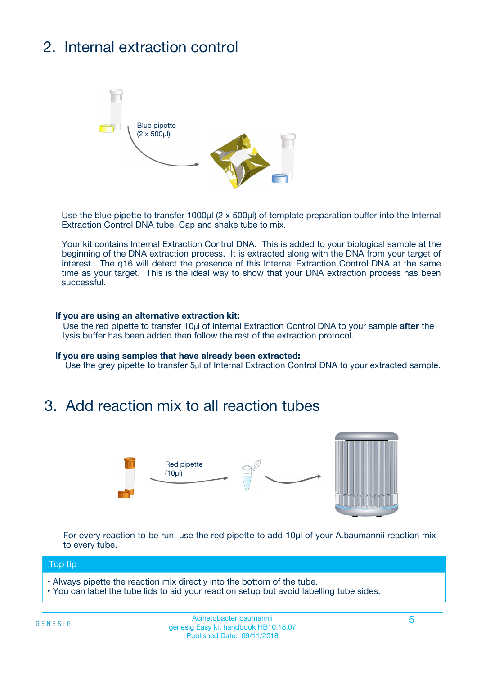## 2. Internal extraction control



Use the blue pipette to transfer 1000µl (2 x 500µl) of template preparation buffer into the Internal Extraction Control DNA tube. Cap and shake tube to mix.

Your kit contains Internal Extraction Control DNA. This is added to your biological sample at the beginning of the DNA extraction process. It is extracted along with the DNA from your target of interest. The q16 will detect the presence of this Internal Extraction Control DNA at the same time as your target. This is the ideal way to show that your DNA extraction process has been **successful.** 

#### **If you are using an alternative extraction kit:**

Use the red pipette to transfer 10µl of Internal Extraction Control DNA to your sample **after** the lysis buffer has been added then follow the rest of the extraction protocol.

#### **If you are using samples that have already been extracted:**

Use the grey pipette to transfer 5µl of Internal Extraction Control DNA to your extracted sample.

### 3. Add reaction mix to all reaction tubes



For every reaction to be run, use the red pipette to add 10µl of your A.baumannii reaction mix to every tube.

#### Top tip

- Always pipette the reaction mix directly into the bottom of the tube.
- You can label the tube lids to aid your reaction setup but avoid labelling tube sides.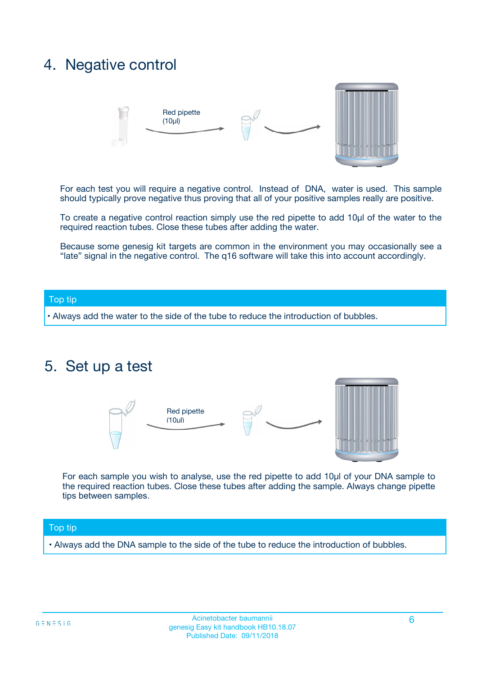### 4. Negative control



For each test you will require a negative control. Instead of DNA, water is used. This sample should typically prove negative thus proving that all of your positive samples really are positive.

To create a negative control reaction simply use the red pipette to add 10µl of the water to the required reaction tubes. Close these tubes after adding the water.

Because some genesig kit targets are common in the environment you may occasionally see a "late" signal in the negative control. The q16 software will take this into account accordingly.

#### Top tip

**•** Always add the water to the side of the tube to reduce the introduction of bubbles.

### 5. Set up a test



For each sample you wish to analyse, use the red pipette to add 10µl of your DNA sample to the required reaction tubes. Close these tubes after adding the sample. Always change pipette tips between samples.

#### Top tip

**•** Always add the DNA sample to the side of the tube to reduce the introduction of bubbles.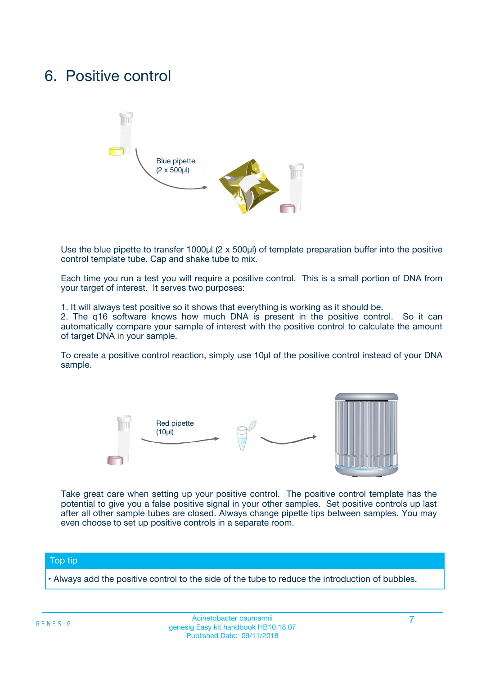### 6. Positive control



Use the blue pipette to transfer 1000µl (2 x 500µl) of template preparation buffer into the positive control template tube. Cap and shake tube to mix.

Each time you run a test you will require a positive control. This is a small portion of DNA from your target of interest. It serves two purposes:

1. It will always test positive so it shows that everything is working as it should be.

2. The q16 software knows how much DNA is present in the positive control. So it can automatically compare your sample of interest with the positive control to calculate the amount of target DNA in your sample.

To create a positive control reaction, simply use 10µl of the positive control instead of your DNA sample.



Take great care when setting up your positive control. The positive control template has the potential to give you a false positive signal in your other samples. Set positive controls up last after all other sample tubes are closed. Always change pipette tips between samples. You may even choose to set up positive controls in a separate room.

#### Top tip

**•** Always add the positive control to the side of the tube to reduce the introduction of bubbles.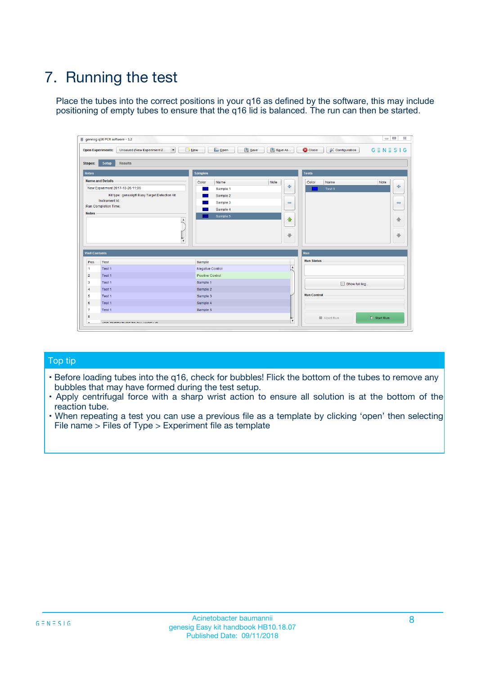## 7. Running the test

Place the tubes into the correct positions in your q16 as defined by the software, this may include positioning of empty tubes to ensure that the q16 lid is balanced. The run can then be started.

| genesig q16 PCR software - 1.2                                               |                                     | $\Box$                                                                                  |
|------------------------------------------------------------------------------|-------------------------------------|-----------------------------------------------------------------------------------------|
| Unsaved (New Experiment 2<br>$\vert \cdot \vert$<br><b>Open Experiments:</b> | <b>D</b> Open<br>Save<br>$\Box$ New | Save As<br><b>C</b> Close<br>$G \equiv N \equiv S \mid G$<br><b>&amp; Configuration</b> |
| Setup<br><b>Results</b><br><b>Stages:</b>                                    |                                     |                                                                                         |
| <b>Notes</b>                                                                 | Samples                             | <b>Tests</b>                                                                            |
| <b>Name and Details</b>                                                      | Color<br>Name                       | Note<br>Color<br>Note<br>Name                                                           |
| New Experiment 2017-10-26 11:06                                              | Sample 1                            | 条<br>علي<br>Test 1                                                                      |
| Kit type: genesig® Easy Target Detection kit                                 | Sample 2                            |                                                                                         |
| Instrument Id.:                                                              | Sample 3                            | $\qquad \qquad \blacksquare$<br>$\qquad \qquad \blacksquare$                            |
| Run Completion Time:                                                         | Sample 4                            |                                                                                         |
| <b>Notes</b>                                                                 | Sample 5<br>A<br>v                  | $\triangle$<br>4<br>$\oplus$<br>₩                                                       |
| <b>Well Contents</b>                                                         |                                     | <b>Run</b>                                                                              |
| Pos.<br>Test                                                                 | Sample                              | <b>Run Status</b>                                                                       |
| Test 1<br>-1                                                                 | <b>Negative Control</b>             | $\blacktriangle$                                                                        |
| $\overline{2}$<br>Test 1                                                     | <b>Positive Control</b>             |                                                                                         |
| $\overline{\mathbf{3}}$<br>Test 1                                            | Sample 1                            | Show full log                                                                           |
| Test 1<br>$\overline{4}$                                                     | Sample 2                            |                                                                                         |
| 5<br>Test 1                                                                  | Sample 3                            | <b>Run Control</b>                                                                      |
| 6<br>Test 1                                                                  | Sample 4                            |                                                                                         |
| $\overline{7}$<br>Test 1                                                     | Sample 5                            |                                                                                         |
| 8                                                                            |                                     | $\triangleright$ Start Run<br>Abort Run                                                 |
| <b>JOD FURTY TUDE TO BUILDED IN</b>                                          |                                     | $\overline{\mathbf{v}}$                                                                 |

#### Top tip

- Before loading tubes into the q16, check for bubbles! Flick the bottom of the tubes to remove any bubbles that may have formed during the test setup.
- Apply centrifugal force with a sharp wrist action to ensure all solution is at the bottom of the reaction tube.
- When repeating a test you can use a previous file as a template by clicking 'open' then selecting File name > Files of Type > Experiment file as template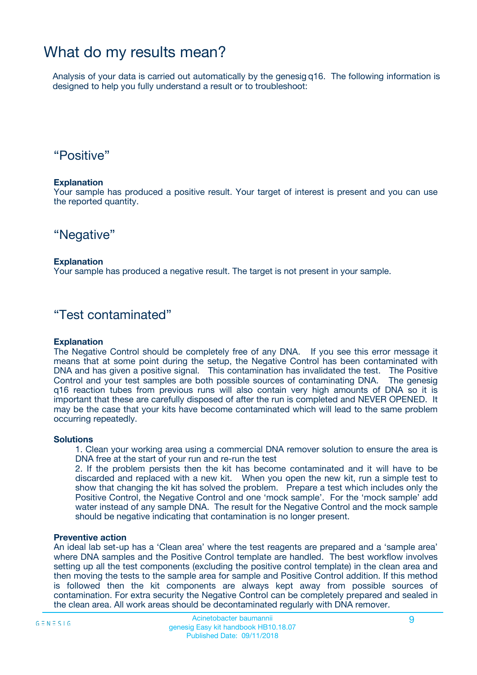### What do my results mean?

Analysis of your data is carried out automatically by the genesig q16. The following information is designed to help you fully understand a result or to troubleshoot:

### "Positive"

#### **Explanation**

Your sample has produced a positive result. Your target of interest is present and you can use the reported quantity.

"Negative"

#### **Explanation**

Your sample has produced a negative result. The target is not present in your sample.

### "Test contaminated"

#### **Explanation**

The Negative Control should be completely free of any DNA. If you see this error message it means that at some point during the setup, the Negative Control has been contaminated with DNA and has given a positive signal. This contamination has invalidated the test. The Positive Control and your test samples are both possible sources of contaminating DNA. The genesig q16 reaction tubes from previous runs will also contain very high amounts of DNA so it is important that these are carefully disposed of after the run is completed and NEVER OPENED. It may be the case that your kits have become contaminated which will lead to the same problem occurring repeatedly.

#### **Solutions**

1. Clean your working area using a commercial DNA remover solution to ensure the area is DNA free at the start of your run and re-run the test

2. If the problem persists then the kit has become contaminated and it will have to be discarded and replaced with a new kit. When you open the new kit, run a simple test to show that changing the kit has solved the problem. Prepare a test which includes only the Positive Control, the Negative Control and one 'mock sample'. For the 'mock sample' add water instead of any sample DNA. The result for the Negative Control and the mock sample should be negative indicating that contamination is no longer present.

#### **Preventive action**

An ideal lab set-up has a 'Clean area' where the test reagents are prepared and a 'sample area' where DNA samples and the Positive Control template are handled. The best workflow involves setting up all the test components (excluding the positive control template) in the clean area and then moving the tests to the sample area for sample and Positive Control addition. If this method is followed then the kit components are always kept away from possible sources of contamination. For extra security the Negative Control can be completely prepared and sealed in the clean area. All work areas should be decontaminated regularly with DNA remover.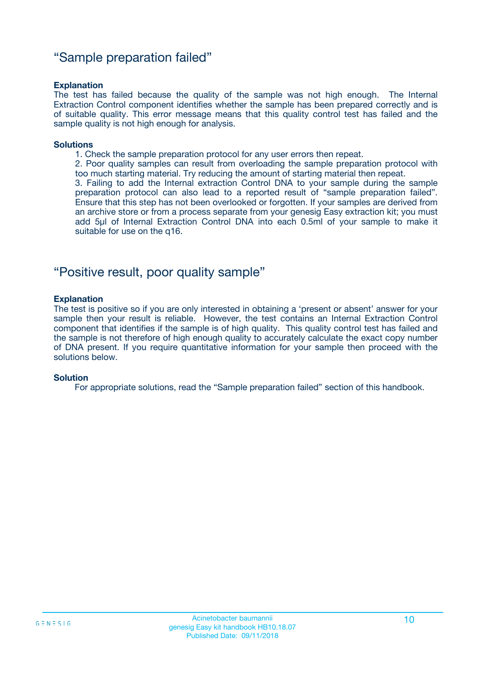### "Sample preparation failed"

#### **Explanation**

The test has failed because the quality of the sample was not high enough. The Internal Extraction Control component identifies whether the sample has been prepared correctly and is of suitable quality. This error message means that this quality control test has failed and the sample quality is not high enough for analysis.

#### **Solutions**

1. Check the sample preparation protocol for any user errors then repeat.

2. Poor quality samples can result from overloading the sample preparation protocol with too much starting material. Try reducing the amount of starting material then repeat.

3. Failing to add the Internal extraction Control DNA to your sample during the sample preparation protocol can also lead to a reported result of "sample preparation failed". Ensure that this step has not been overlooked or forgotten. If your samples are derived from an archive store or from a process separate from your genesig Easy extraction kit; you must add 5µl of Internal Extraction Control DNA into each 0.5ml of your sample to make it suitable for use on the q16.

### "Positive result, poor quality sample"

#### **Explanation**

The test is positive so if you are only interested in obtaining a 'present or absent' answer for your sample then your result is reliable. However, the test contains an Internal Extraction Control component that identifies if the sample is of high quality. This quality control test has failed and the sample is not therefore of high enough quality to accurately calculate the exact copy number of DNA present. If you require quantitative information for your sample then proceed with the solutions below.

#### **Solution**

For appropriate solutions, read the "Sample preparation failed" section of this handbook.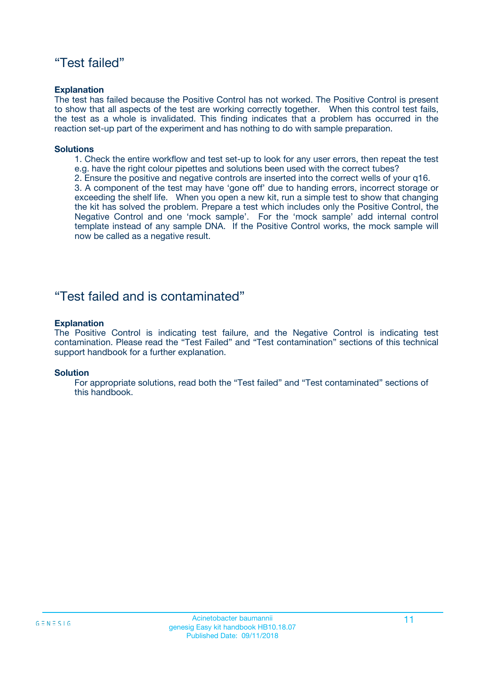### "Test failed"

#### **Explanation**

The test has failed because the Positive Control has not worked. The Positive Control is present to show that all aspects of the test are working correctly together. When this control test fails, the test as a whole is invalidated. This finding indicates that a problem has occurred in the reaction set-up part of the experiment and has nothing to do with sample preparation.

#### **Solutions**

- 1. Check the entire workflow and test set-up to look for any user errors, then repeat the test e.g. have the right colour pipettes and solutions been used with the correct tubes?
- 2. Ensure the positive and negative controls are inserted into the correct wells of your q16.

3. A component of the test may have 'gone off' due to handing errors, incorrect storage or exceeding the shelf life. When you open a new kit, run a simple test to show that changing the kit has solved the problem. Prepare a test which includes only the Positive Control, the Negative Control and one 'mock sample'. For the 'mock sample' add internal control template instead of any sample DNA. If the Positive Control works, the mock sample will now be called as a negative result.

### "Test failed and is contaminated"

#### **Explanation**

The Positive Control is indicating test failure, and the Negative Control is indicating test contamination. Please read the "Test Failed" and "Test contamination" sections of this technical support handbook for a further explanation.

#### **Solution**

For appropriate solutions, read both the "Test failed" and "Test contaminated" sections of this handbook.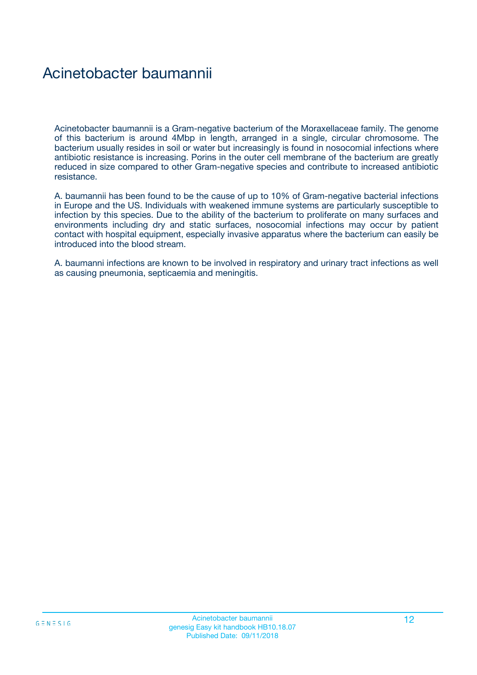### Acinetobacter baumannii

Acinetobacter baumannii is a Gram-negative bacterium of the Moraxellaceae family. The genome of this bacterium is around 4Mbp in length, arranged in a single, circular chromosome. The bacterium usually resides in soil or water but increasingly is found in nosocomial infections where antibiotic resistance is increasing. Porins in the outer cell membrane of the bacterium are greatly reduced in size compared to other Gram-negative species and contribute to increased antibiotic resistance.

A. baumannii has been found to be the cause of up to 10% of Gram-negative bacterial infections in Europe and the US. Individuals with weakened immune systems are particularly susceptible to infection by this species. Due to the ability of the bacterium to proliferate on many surfaces and environments including dry and static surfaces, nosocomial infections may occur by patient contact with hospital equipment, especially invasive apparatus where the bacterium can easily be introduced into the blood stream.

A. baumanni infections are known to be involved in respiratory and urinary tract infections as well as causing pneumonia, septicaemia and meningitis.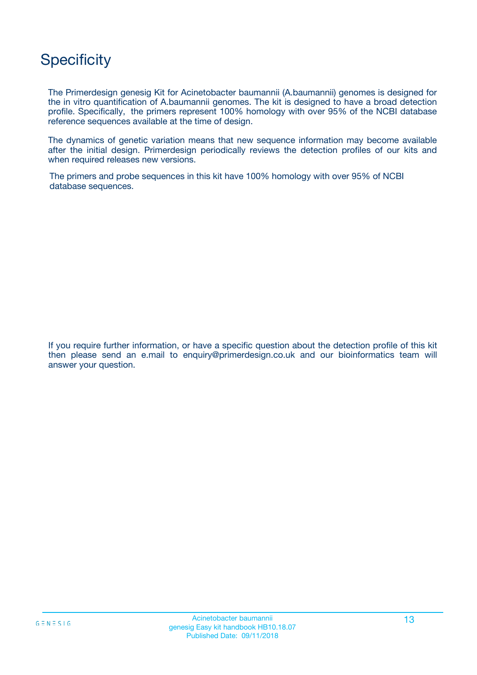## **Specificity**

The Primerdesign genesig Kit for Acinetobacter baumannii (A.baumannii) genomes is designed for the in vitro quantification of A.baumannii genomes. The kit is designed to have a broad detection profile. Specifically, the primers represent 100% homology with over 95% of the NCBI database reference sequences available at the time of design.

The dynamics of genetic variation means that new sequence information may become available after the initial design. Primerdesign periodically reviews the detection profiles of our kits and when required releases new versions.

The primers and probe sequences in this kit have 100% homology with over 95% of NCBI database sequences.

If you require further information, or have a specific question about the detection profile of this kit then please send an e.mail to enquiry@primerdesign.co.uk and our bioinformatics team will answer your question.